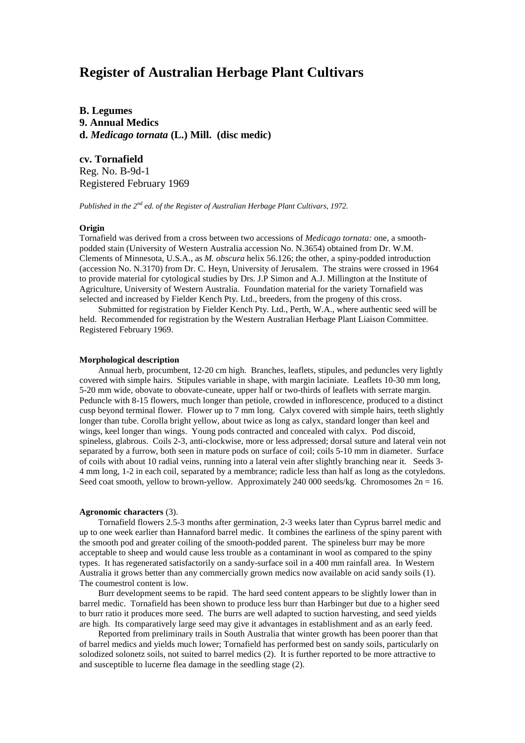# **Register of Australian Herbage Plant Cultivars**

**B. Legumes 9. Annual Medics d.** *Medicago tornata* **(L.) Mill. (disc medic)**

**cv. Tornafield**

Reg. No. B-9d-1 Registered February 1969

*Published in the 2nd ed. of the Register of Australian Herbage Plant Cultivars, 1972.*

## **Origin**

Tornafield was derived from a cross between two accessions of *Medicago tornata:* one, a smoothpodded stain (University of Western Australia accession No. N.3654) obtained from Dr. W.M. Clements of Minnesota, U.S.A., as *M. obscura* helix 56.126; the other, a spiny-podded introduction (accession No. N.3170) from Dr. C. Heyn, University of Jerusalem. The strains were crossed in 1964 to provide material for cytological studies by Drs. J.P Simon and A.J. Millington at the Institute of Agriculture, University of Western Australia. Foundation material for the variety Tornafield was selected and increased by Fielder Kench Pty. Ltd., breeders, from the progeny of this cross.

Submitted for registration by Fielder Kench Pty. Ltd., Perth, W.A., where authentic seed will be held. Recommended for registration by the Western Australian Herbage Plant Liaison Committee. Registered February 1969.

#### **Morphological description**

Annual herb, procumbent, 12-20 cm high. Branches, leaflets, stipules, and peduncles very lightly covered with simple hairs. Stipules variable in shape, with margin laciniate. Leaflets 10-30 mm long, 5-20 mm wide, obovate to obovate-cuneate, upper half or two-thirds of leaflets with serrate margin. Peduncle with 8-15 flowers, much longer than petiole, crowded in inflorescence, produced to a distinct cusp beyond terminal flower. Flower up to 7 mm long. Calyx covered with simple hairs, teeth slightly longer than tube. Corolla bright yellow, about twice as long as calyx, standard longer than keel and wings, keel longer than wings. Young pods contracted and concealed with calyx. Pod discoid, spineless, glabrous. Coils 2-3, anti-clockwise, more or less adpressed; dorsal suture and lateral vein not separated by a furrow, both seen in mature pods on surface of coil; coils 5-10 mm in diameter. Surface of coils with about 10 radial veins, running into a lateral vein after slightly branching near it. Seeds 3- 4 mm long, 1-2 in each coil, separated by a membrance; radicle less than half as long as the cotyledons. Seed coat smooth, yellow to brown-yellow. Approximately 240 000 seeds/kg. Chromosomes  $2n = 16$ .

### **Agronomic characters** (3).

Tornafield flowers 2.5-3 months after germination, 2-3 weeks later than Cyprus barrel medic and up to one week earlier than Hannaford barrel medic. It combines the earliness of the spiny parent with the smooth pod and greater coiling of the smooth-podded parent. The spineless burr may be more acceptable to sheep and would cause less trouble as a contaminant in wool as compared to the spiny types. It has regenerated satisfactorily on a sandy-surface soil in a 400 mm rainfall area. In Western Australia it grows better than any commercially grown medics now available on acid sandy soils (1). The coumestrol content is low.

Burr development seems to be rapid. The hard seed content appears to be slightly lower than in barrel medic. Tornafield has been shown to produce less burr than Harbinger but due to a higher seed to burr ratio it produces more seed. The burrs are well adapted to suction harvesting, and seed yields are high. Its comparatively large seed may give it advantages in establishment and as an early feed.

Reported from preliminary trails in South Australia that winter growth has been poorer than that of barrel medics and yields much lower; Tornafield has performed best on sandy soils, particularly on solodized solonetz soils, not suited to barrel medics (2). It is further reported to be more attractive to and susceptible to lucerne flea damage in the seedling stage (2).